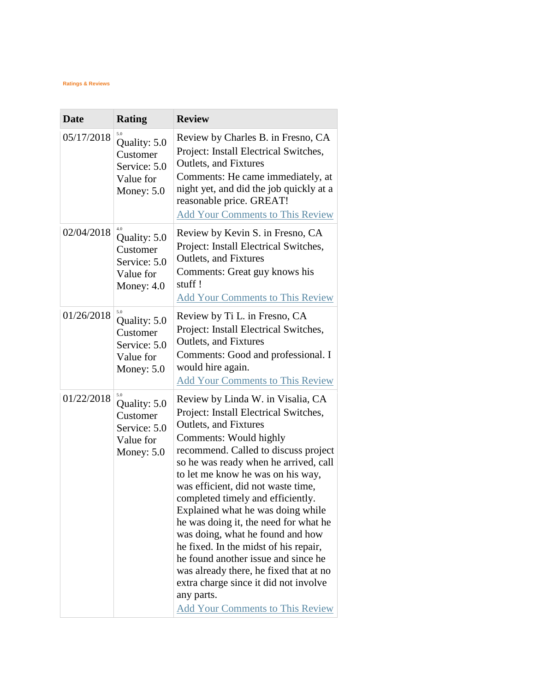## **Ratings & Reviews**

 $\sim$ 

| <b>Date</b> | <b>Rating</b>                                                                | <b>Review</b>                                                                                                                                                                                                                                                                                                                                                                                                                                                                                                                                                                                                                                                                |
|-------------|------------------------------------------------------------------------------|------------------------------------------------------------------------------------------------------------------------------------------------------------------------------------------------------------------------------------------------------------------------------------------------------------------------------------------------------------------------------------------------------------------------------------------------------------------------------------------------------------------------------------------------------------------------------------------------------------------------------------------------------------------------------|
| 05/17/2018  | 5.0<br>Quality: 5.0<br>Customer<br>Service: 5.0<br>Value for<br>Money: $5.0$ | Review by Charles B. in Fresno, CA<br>Project: Install Electrical Switches,<br><b>Outlets, and Fixtures</b><br>Comments: He came immediately, at<br>night yet, and did the job quickly at a<br>reasonable price. GREAT!<br><b>Add Your Comments to This Review</b>                                                                                                                                                                                                                                                                                                                                                                                                           |
| 02/04/2018  | 4.0<br>Quality: 5.0<br>Customer<br>Service: 5.0<br>Value for<br>Money: $4.0$ | Review by Kevin S. in Fresno, CA<br>Project: Install Electrical Switches,<br>Outlets, and Fixtures<br>Comments: Great guy knows his<br>stuff!<br><b>Add Your Comments to This Review</b>                                                                                                                                                                                                                                                                                                                                                                                                                                                                                     |
| 01/26/2018  | 5.0<br>Quality: 5.0<br>Customer<br>Service: 5.0<br>Value for<br>Money: $5.0$ | Review by Ti L. in Fresno, CA<br>Project: Install Electrical Switches,<br><b>Outlets, and Fixtures</b><br>Comments: Good and professional. I<br>would hire again.<br><b>Add Your Comments to This Review</b>                                                                                                                                                                                                                                                                                                                                                                                                                                                                 |
| 01/22/2018  | 5.0<br>Quality: 5.0<br>Customer<br>Service: 5.0<br>Value for<br>Money: $5.0$ | Review by Linda W. in Visalia, CA<br>Project: Install Electrical Switches,<br>Outlets, and Fixtures<br>Comments: Would highly<br>recommend. Called to discuss project<br>so he was ready when he arrived, call<br>to let me know he was on his way,<br>was efficient, did not waste time,<br>completed timely and efficiently.<br>Explained what he was doing while<br>he was doing it, the need for what he<br>was doing, what he found and how<br>he fixed. In the midst of his repair,<br>he found another issue and since he<br>was already there, he fixed that at no<br>extra charge since it did not involve<br>any parts.<br><b>Add Your Comments to This Review</b> |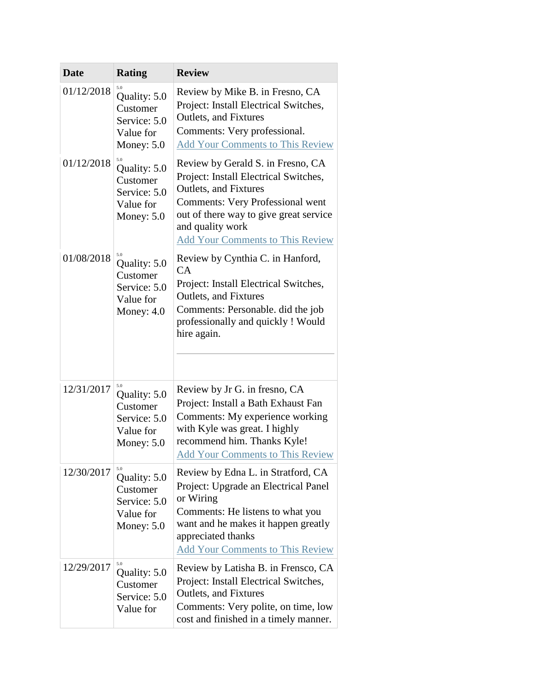| <b>Date</b> | <b>Rating</b>                                                                | <b>Review</b>                                                                                                                                                                                                                                           |
|-------------|------------------------------------------------------------------------------|---------------------------------------------------------------------------------------------------------------------------------------------------------------------------------------------------------------------------------------------------------|
| 01/12/2018  | Quality: 5.0<br>Customer<br>Service: 5.0<br>Value for<br>Money: $5.0$        | Review by Mike B. in Fresno, CA<br>Project: Install Electrical Switches,<br><b>Outlets, and Fixtures</b><br>Comments: Very professional.<br><b>Add Your Comments to This Review</b>                                                                     |
| 01/12/2018  | 5.0<br>Quality: 5.0<br>Customer<br>Service: 5.0<br>Value for<br>Money: $5.0$ | Review by Gerald S. in Fresno, CA<br>Project: Install Electrical Switches,<br>Outlets, and Fixtures<br><b>Comments: Very Professional went</b><br>out of there way to give great service<br>and quality work<br><b>Add Your Comments to This Review</b> |
| 01/08/2018  | 5.0<br>Quality: 5.0<br>Customer<br>Service: 5.0<br>Value for<br>Money: $4.0$ | Review by Cynthia C. in Hanford,<br>CA<br>Project: Install Electrical Switches,<br><b>Outlets, and Fixtures</b><br>Comments: Personable. did the job<br>professionally and quickly ! Would<br>hire again.                                               |
| 12/31/2017  | 5.0<br>Quality: 5.0<br>Customer<br>Service: 5.0<br>Value for<br>Money: $5.0$ | Review by Jr G. in fresno, CA<br>Project: Install a Bath Exhaust Fan<br>Comments: My experience working<br>with Kyle was great. I highly<br>recommend him. Thanks Kyle!<br><b>Add Your Comments to This Review</b>                                      |
| 12/30/2017  | 5.0<br>Quality: 5.0<br>Customer<br>Service: 5.0<br>Value for<br>Money: $5.0$ | Review by Edna L. in Stratford, CA<br>Project: Upgrade an Electrical Panel<br>or Wiring<br>Comments: He listens to what you<br>want and he makes it happen greatly<br>appreciated thanks<br><b>Add Your Comments to This Review</b>                     |
| 12/29/2017  | 5.0<br>Quality: 5.0<br>Customer<br>Service: 5.0<br>Value for                 | Review by Latisha B. in Frensco, CA<br>Project: Install Electrical Switches,<br>Outlets, and Fixtures<br>Comments: Very polite, on time, low<br>cost and finished in a timely manner.                                                                   |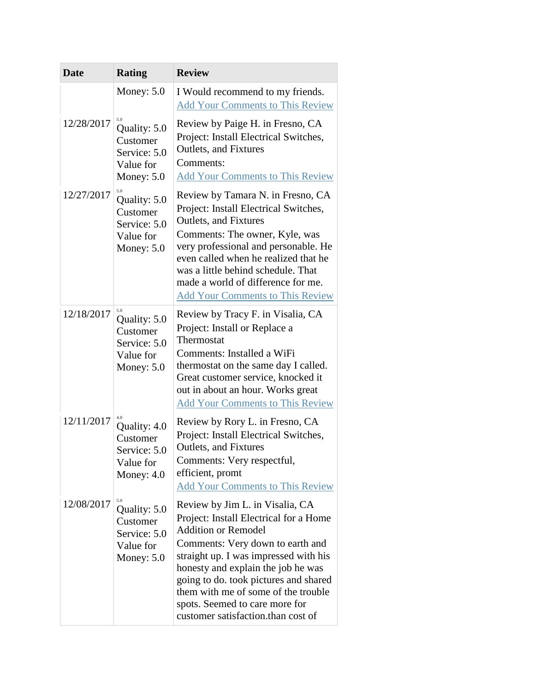| <b>Date</b> | <b>Rating</b>                                                                | <b>Review</b>                                                                                                                                                                                                                                                                                                                                                                      |
|-------------|------------------------------------------------------------------------------|------------------------------------------------------------------------------------------------------------------------------------------------------------------------------------------------------------------------------------------------------------------------------------------------------------------------------------------------------------------------------------|
|             | Money: $5.0$                                                                 | I Would recommend to my friends.<br><b>Add Your Comments to This Review</b>                                                                                                                                                                                                                                                                                                        |
| 12/28/2017  | 5.0<br>Quality: 5.0<br>Customer<br>Service: 5.0<br>Value for<br>Money: $5.0$ | Review by Paige H. in Fresno, CA<br>Project: Install Electrical Switches,<br>Outlets, and Fixtures<br>Comments:<br><b>Add Your Comments to This Review</b>                                                                                                                                                                                                                         |
| 12/27/2017  | 5.0<br>Quality: 5.0<br>Customer<br>Service: 5.0<br>Value for<br>Money: $5.0$ | Review by Tamara N. in Fresno, CA<br>Project: Install Electrical Switches,<br><b>Outlets, and Fixtures</b><br>Comments: The owner, Kyle, was<br>very professional and personable. He<br>even called when he realized that he<br>was a little behind schedule. That<br>made a world of difference for me.<br><b>Add Your Comments to This Review</b>                                |
| 12/18/2017  | Quality: 5.0<br>Customer<br>Service: 5.0<br>Value for<br>Money: $5.0$        | Review by Tracy F. in Visalia, CA<br>Project: Install or Replace a<br>Thermostat<br>Comments: Installed a WiFi<br>thermostat on the same day I called.<br>Great customer service, knocked it<br>out in about an hour. Works great<br><b>Add Your Comments to This Review</b>                                                                                                       |
| 12/11/2017  | Quality: 4.0<br>Customer<br>Service: 5.0<br>Value for<br>Money: $4.0$        | Review by Rory L. in Fresno, CA<br>Project: Install Electrical Switches,<br>Outlets, and Fixtures<br>Comments: Very respectful,<br>efficient, promt<br><b>Add Your Comments to This Review</b>                                                                                                                                                                                     |
| 12/08/2017  | 5.0<br>Quality: 5.0<br>Customer<br>Service: 5.0<br>Value for<br>Money: $5.0$ | Review by Jim L. in Visalia, CA<br>Project: Install Electrical for a Home<br><b>Addition or Remodel</b><br>Comments: Very down to earth and<br>straight up. I was impressed with his<br>honesty and explain the job he was<br>going to do. took pictures and shared<br>them with me of some of the trouble<br>spots. Seemed to care more for<br>customer satisfaction.than cost of |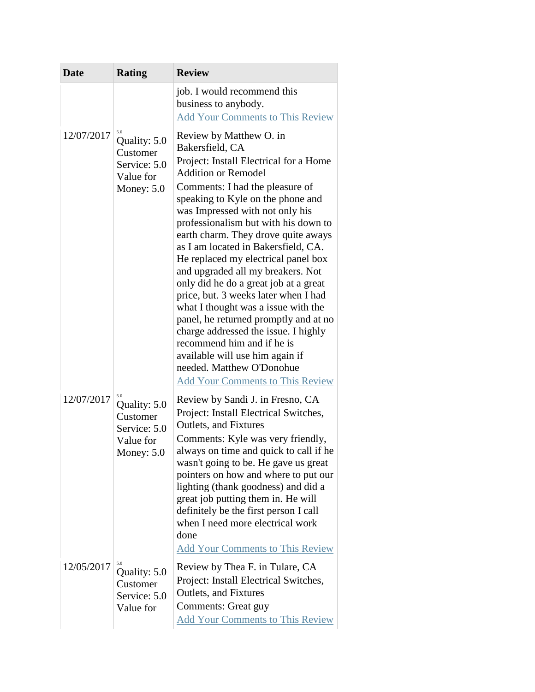| <b>Date</b> | <b>Rating</b>                                                                | <b>Review</b>                                                                                                                                                                                                                                                                                                                                                                                                                                                                                                                                                                                                                                                                                                                                                                     |
|-------------|------------------------------------------------------------------------------|-----------------------------------------------------------------------------------------------------------------------------------------------------------------------------------------------------------------------------------------------------------------------------------------------------------------------------------------------------------------------------------------------------------------------------------------------------------------------------------------------------------------------------------------------------------------------------------------------------------------------------------------------------------------------------------------------------------------------------------------------------------------------------------|
|             |                                                                              | job. I would recommend this<br>business to anybody.<br><b>Add Your Comments to This Review</b>                                                                                                                                                                                                                                                                                                                                                                                                                                                                                                                                                                                                                                                                                    |
| 12/07/2017  | 5.0<br>Quality: 5.0<br>Customer<br>Service: 5.0<br>Value for<br>Money: $5.0$ | Review by Matthew O. in<br>Bakersfield, CA<br>Project: Install Electrical for a Home<br><b>Addition or Remodel</b><br>Comments: I had the pleasure of<br>speaking to Kyle on the phone and<br>was Impressed with not only his<br>professionalism but with his down to<br>earth charm. They drove quite aways<br>as I am located in Bakersfield, CA.<br>He replaced my electrical panel box<br>and upgraded all my breakers. Not<br>only did he do a great job at a great<br>price, but. 3 weeks later when I had<br>what I thought was a issue with the<br>panel, he returned promptly and at no<br>charge addressed the issue. I highly<br>recommend him and if he is<br>available will use him again if<br>needed. Matthew O'Donohue<br><b>Add Your Comments to This Review</b> |
| 12/07/2017  | 5.0<br>Quality: 5.0<br>Customer<br>Service: 5.0<br>Value for<br>Money: $5.0$ | Review by Sandi J. in Fresno, CA<br>Project: Install Electrical Switches,<br><b>Outlets, and Fixtures</b><br>Comments: Kyle was very friendly,<br>always on time and quick to call if he<br>wasn't going to be. He gave us great<br>pointers on how and where to put our<br>lighting (thank goodness) and did a<br>great job putting them in. He will<br>definitely be the first person I call<br>when I need more electrical work<br>done<br><b>Add Your Comments to This Review</b>                                                                                                                                                                                                                                                                                             |
| 12/05/2017  | 5.0<br>Quality: 5.0<br>Customer<br>Service: 5.0<br>Value for                 | Review by Thea F. in Tulare, CA<br>Project: Install Electrical Switches,<br>Outlets, and Fixtures<br>Comments: Great guy<br><b>Add Your Comments to This Review</b>                                                                                                                                                                                                                                                                                                                                                                                                                                                                                                                                                                                                               |